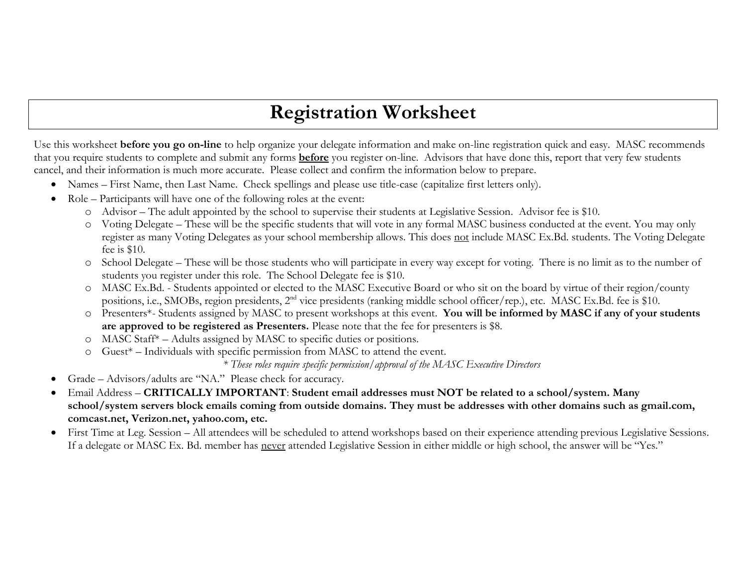## **Registration Worksheet**

Use this worksheet **before you go on-line** to help organize your delegate information and make on-line registration quick and easy. MASC recommends that you require students to complete and submit any forms **before** you register on-line. Advisors that have done this, report that very few students cancel, and their information is much more accurate. Please collect and confirm the information below to prepare.

- Names First Name, then Last Name. Check spellings and please use title-case (capitalize first letters only).
- Role Participants will have one of the following roles at the event:
	- o Advisor The adult appointed by the school to supervise their students at Legislative Session. Advisor fee is \$10.
	- o Voting Delegate These will be the specific students that will vote in any formal MASC business conducted at the event. You may only register as many Voting Delegates as your school membership allows. This does not include MASC Ex.Bd. students. The Voting Delegate fee is \$10.
	- o School Delegate These will be those students who will participate in every way except for voting. There is no limit as to the number of students you register under this role. The School Delegate fee is \$10.
	- o MASC Ex.Bd. Students appointed or elected to the MASC Executive Board or who sit on the board by virtue of their region/county positions, i.e., SMOBs, region presidents, 2<sup>nd</sup> vice presidents (ranking middle school officer/rep.), etc. MASC Ex.Bd. fee is \$10.
	- o Presenters\*- Students assigned by MASC to present workshops at this event. **You will be informed by MASC if any of your students are approved to be registered as Presenters.** Please note that the fee for presenters is \$8.
	- o MASC Staff\* Adults assigned by MASC to specific duties or positions.
	- o Guest\* Individuals with specific permission from MASC to attend the event.

*\* These roles require specific permission/approval of the MASC Executive Directors*

- Grade Advisors/adults are "NA." Please check for accuracy.
- Email Address **CRITICALLY IMPORTANT**: **Student email addresses must NOT be related to a school/system. Many school/system servers block emails coming from outside domains. They must be addresses with other domains such as gmail.com, comcast.net, Verizon.net, yahoo.com, etc.**
- First Time at Leg. Session All attendees will be scheduled to attend workshops based on their experience attending previous Legislative Sessions. If a delegate or MASC Ex. Bd. member has never attended Legislative Session in either middle or high school, the answer will be "Yes."